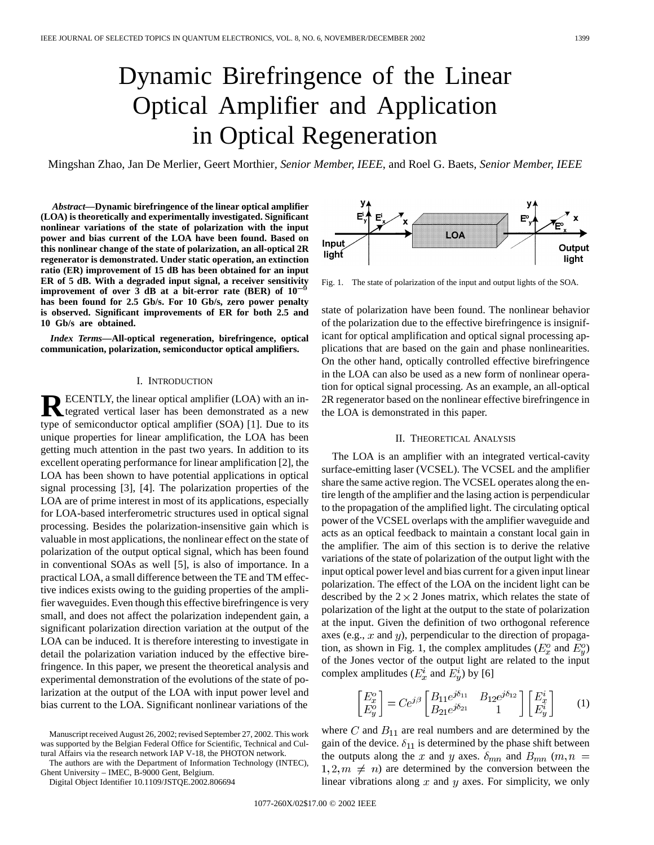# Dynamic Birefringence of the Linear Optical Amplifier and Application in Optical Regeneration

Mingshan Zhao, Jan De Merlier, Geert Morthier*, Senior Member, IEEE*, and Roel G. Baets*, Senior Member, IEEE*

*Abstract—***Dynamic birefringence of the linear optical amplifier (LOA) is theoretically and experimentally investigated. Significant nonlinear variations of the state of polarization with the input power and bias current of the LOA have been found. Based on this nonlinear change of the state of polarization, an all-optical 2R regenerator is demonstrated. Under static operation, an extinction ratio (ER) improvement of 15 dB has been obtained for an input ER of 5 dB. With a degraded input signal, a receiver sensitivity improvement of over 3 dB at a bit-error rate (BER) of**  $10^{-9}$ **has been found for 2.5 Gb/s. For 10 Gb/s, zero power penalty is observed. Significant improvements of ER for both 2.5 and 10 Gb/s are obtained.**

*Index Terms—***All-optical regeneration, birefringence, optical communication, polarization, semiconductor optical amplifiers.**

### I. INTRODUCTION

**RECENTLY**, the linear optical amplifier (LOA) with an integrated vertical laser has a set tegrated vertical laser has been demonstrated as a new type of semiconductor optical amplifier (SOA) [1]. Due to its unique properties for linear amplification, the LOA has been getting much attention in the past two years. In addition to its excellent operating performance for linear amplification [2], the LOA has been shown to have potential applications in optical signal processing [3], [4]. The polarization properties of the LOA are of prime interest in most of its applications, especially for LOA-based interferometric structures used in optical signal processing. Besides the polarization-insensitive gain which is valuable in most applications, the nonlinear effect on the state of polarization of the output optical signal, which has been found in conventional SOAs as well [5], is also of importance. In a practical LOA, a small difference between the TE and TM effective indices exists owing to the guiding properties of the amplifier waveguides. Even though this effective birefringence is very small, and does not affect the polarization independent gain, a significant polarization direction variation at the output of the LOA can be induced. It is therefore interesting to investigate in detail the polarization variation induced by the effective birefringence. In this paper, we present the theoretical analysis and experimental demonstration of the evolutions of the state of polarization at the output of the LOA with input power level and bias current to the LOA. Significant nonlinear variations of the



The authors are with the Department of Information Technology (INTEC), Ghent University – IMEC, B-9000 Gent, Belgium.

Digital Object Identifier 10.1109/JSTQE.2002.806694

LOA Input Output light light

Fig. 1. The state of polarization of the input and output lights of the SOA.

state of polarization have been found. The nonlinear behavior of the polarization due to the effective birefringence is insignificant for optical amplification and optical signal processing applications that are based on the gain and phase nonlinearities. On the other hand, optically controlled effective birefringence in the LOA can also be used as a new form of nonlinear operation for optical signal processing. As an example, an all-optical 2R regenerator based on the nonlinear effective birefringence in the LOA is demonstrated in this paper.

## II. THEORETICAL ANALYSIS

The LOA is an amplifier with an integrated vertical-cavity surface-emitting laser (VCSEL). The VCSEL and the amplifier share the same active region. The VCSEL operates along the entire length of the amplifier and the lasing action is perpendicular to the propagation of the amplified light. The circulating optical power of the VCSEL overlaps with the amplifier waveguide and acts as an optical feedback to maintain a constant local gain in the amplifier. The aim of this section is to derive the relative variations of the state of polarization of the output light with the input optical power level and bias current for a given input linear polarization. The effect of the LOA on the incident light can be described by the  $2 \times 2$  Jones matrix, which relates the state of polarization of the light at the output to the state of polarization at the input. Given the definition of two orthogonal reference axes (e.g.,  $x$  and  $y$ ), perpendicular to the direction of propagation, as shown in Fig. 1, the complex amplitudes  $(E_x^o$  and  $E_y^o$ ) of the Jones vector of the output light are related to the input complex amplitudes  $(E_x^i$  and  $E_y^i)$  by [6]

$$
\begin{bmatrix} E_x^o \\ E_y^o \end{bmatrix} = Ce^{j\beta} \begin{bmatrix} B_{11}e^{j\delta_{11}} & B_{12}e^{j\delta_{12}} \\ B_{21}e^{j\delta_{21}} & 1 \end{bmatrix} \begin{bmatrix} E_x^i \\ E_y^i \end{bmatrix} \tag{1}
$$

where C and  $B_{11}$  are real numbers and are determined by the gain of the device.  $\delta_{11}$  is determined by the phase shift between the outputs along the x and y axes.  $\delta_{mn}$  and  $B_{mn}$  (m, n =  $1, 2, m \neq n$ ) are determined by the conversion between the linear vibrations along  $x$  and  $y$  axes. For simplicity, we only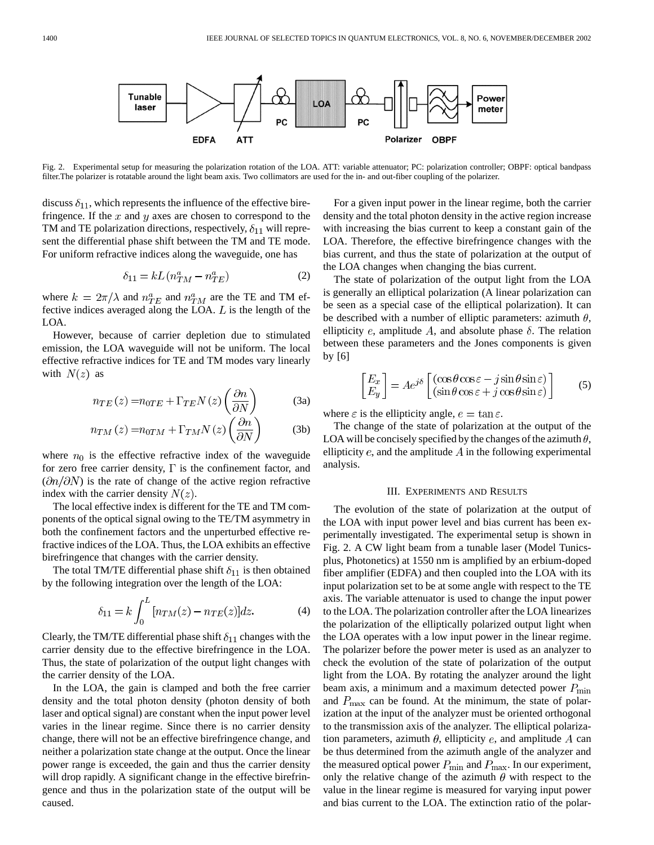

Fig. 2. Experimental setup for measuring the polarization rotation of the LOA. ATT: variable attenuator; PC: polarization controller; OBPF: optical bandpass filter.The polarizer is rotatable around the light beam axis. Two collimators are used for the in- and out-fiber coupling of the polarizer.

discuss  $\delta_{11}$ , which represents the influence of the effective birefringence. If the  $x$  and  $y$  axes are chosen to correspond to the TM and TE polarization directions, respectively,  $\delta_{11}$  will represent the differential phase shift between the TM and TE mode. For uniform refractive indices along the waveguide, one has

$$
\delta_{11} = kL \left( n_{TM}^a - n_{TE}^a \right) \tag{2}
$$

where  $k = 2\pi/\lambda$  and  $n_{TE}^a$  and  $n_{TM}^a$  are the TE and TM effective indices averaged along the LOA.  $L$  is the length of the LOA.

However, because of carrier depletion due to stimulated emission, the LOA waveguide will not be uniform. The local effective refractive indices for TE and TM modes vary linearly with  $N(z)$  as

$$
n_{TE}(z) = n_{0TE} + \Gamma_{TE} N(z) \left(\frac{\partial n}{\partial N}\right) \tag{3a}
$$

$$
n_{TM}(z) = n_{0TM} + \Gamma_{TM} N(z) \left(\frac{\partial n}{\partial N}\right) \tag{3b}
$$

where  $n_0$  is the effective refractive index of the waveguide for zero free carrier density,  $\Gamma$  is the confinement factor, and  $(\partial n / \partial N)$  is the rate of change of the active region refractive index with the carrier density  $N(z)$ .

The local effective index is different for the TE and TM components of the optical signal owing to the TE/TM asymmetry in both the confinement factors and the unperturbed effective refractive indices of the LOA. Thus, the LOA exhibits an effective birefringence that changes with the carrier density.

The total TM/TE differential phase shift  $\delta_{11}$  is then obtained by the following integration over the length of the LOA:

$$
\delta_{11} = k \int_0^L \left[ n_{TM}(z) - n_{TE}(z) \right] dz.
$$
 (4)

Clearly, the TM/TE differential phase shift  $\delta_{11}$  changes with the carrier density due to the effective birefringence in the LOA. Thus, the state of polarization of the output light changes with the carrier density of the LOA.

In the LOA, the gain is clamped and both the free carrier density and the total photon density (photon density of both laser and optical signal) are constant when the input power level varies in the linear regime. Since there is no carrier density change, there will not be an effective birefringence change, and neither a polarization state change at the output. Once the linear power range is exceeded, the gain and thus the carrier density will drop rapidly. A significant change in the effective birefringence and thus in the polarization state of the output will be caused.

For a given input power in the linear regime, both the carrier density and the total photon density in the active region increase with increasing the bias current to keep a constant gain of the LOA. Therefore, the effective birefringence changes with the bias current, and thus the state of polarization at the output of the LOA changes when changing the bias current.

The state of polarization of the output light from the LOA is generally an elliptical polarization (A linear polarization can be seen as a special case of the elliptical polarization). It can be described with a number of elliptic parameters: azimuth  $\theta$ , ellipticity e, amplitude A, and absolute phase  $\delta$ . The relation between these parameters and the Jones components is given by [6]

$$
\begin{bmatrix} E_x \\ E_y \end{bmatrix} = Ae^{j\delta} \begin{bmatrix} (\cos\theta\cos\varepsilon - j\sin\theta\sin\varepsilon) \\ (\sin\theta\cos\varepsilon + j\cos\theta\sin\varepsilon) \end{bmatrix}
$$
 (5)

where  $\varepsilon$  is the ellipticity angle,  $e = \tan \varepsilon$ .

The change of the state of polarization at the output of the LOA will be concisely specified by the changes of the azimuth  $\theta$ , ellipticity  $e$ , and the amplitude  $\overline{A}$  in the following experimental analysis.

# III. EXPERIMENTS AND RESULTS

The evolution of the state of polarization at the output of the LOA with input power level and bias current has been experimentally investigated. The experimental setup is shown in Fig. 2. A CW light beam from a tunable laser (Model Tunicsplus, Photonetics) at 1550 nm is amplified by an erbium-doped fiber amplifier (EDFA) and then coupled into the LOA with its input polarization set to be at some angle with respect to the TE axis. The variable attenuator is used to change the input power to the LOA. The polarization controller after the LOA linearizes the polarization of the elliptically polarized output light when the LOA operates with a low input power in the linear regime. The polarizer before the power meter is used as an analyzer to check the evolution of the state of polarization of the output light from the LOA. By rotating the analyzer around the light beam axis, a minimum and a maximum detected power  $P_{\text{min}}$ and  $P_{\text{max}}$  can be found. At the minimum, the state of polarization at the input of the analyzer must be oriented orthogonal to the transmission axis of the analyzer. The elliptical polarization parameters, azimuth  $\theta$ , ellipticity e, and amplitude A can be thus determined from the azimuth angle of the analyzer and the measured optical power  $P_{\text{min}}$  and  $P_{\text{max}}$ . In our experiment, only the relative change of the azimuth  $\theta$  with respect to the value in the linear regime is measured for varying input power and bias current to the LOA. The extinction ratio of the polar-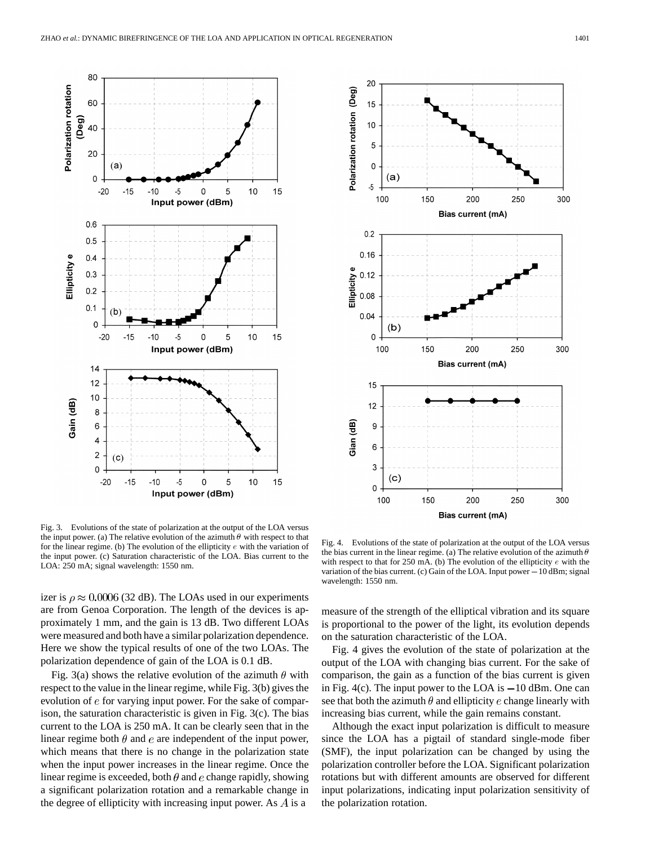



Fig. 3. Evolutions of the state of polarization at the output of the LOA versus the input power. (a) The relative evolution of the azimuth  $\theta$  with respect to that for the linear regime. (b) The evolution of the ellipticity  $e$  with the variation of the input power. (c) Saturation characteristic of the LOA. Bias current to the LOA: 250 mA; signal wavelength: 1550 nm.

izer is  $\rho \approx 0.0006$  (32 dB). The LOAs used in our experiments are from Genoa Corporation. The length of the devices is approximately 1 mm, and the gain is 13 dB. Two different LOAs were measured and both have a similar polarization dependence. Here we show the typical results of one of the two LOAs. The polarization dependence of gain of the LOA is 0.1 dB.

Fig. 3(a) shows the relative evolution of the azimuth  $\theta$  with respect to the value in the linear regime, while Fig. 3(b) gives the evolution of  $e$  for varying input power. For the sake of comparison, the saturation characteristic is given in Fig. 3(c). The bias current to the LOA is 250 mA. It can be clearly seen that in the linear regime both  $\theta$  and  $e$  are independent of the input power, which means that there is no change in the polarization state when the input power increases in the linear regime. Once the linear regime is exceeded, both  $\theta$  and  $e$  change rapidly, showing a significant polarization rotation and a remarkable change in the degree of ellipticity with increasing input power. As  $A$  is a

Fig. 4. Evolutions of the state of polarization at the output of the LOA versus the bias current in the linear regime. (a) The relative evolution of the azimuth  $\theta$  with respect to that for 250 mA. (b) The evolution of t the bias current in the linear regime. (a) The relative evolution of the azimuth  $\theta$ with respect to that for 250 mA. (b) The evolution of the ellipticity  $e$  with the wavelength: 1550 nm.

measure of the strength of the elliptical vibration and its square is proportional to the power of the light, its evolution depends on the saturation characteristic of the LOA.

Fig. 4 gives the evolution of the state of polarization at the output of the LOA with changing bias current. For the sake of comparison, the gain as a function of the bias current is given in Fig. 4(c). The input power to the LOA is  $-10$  dBm. One can see that both the azimuth  $\theta$  and ellipticity e change linearly with increasing bias current, while the gain remains constant.

Although the exact input polarization is difficult to measure since the LOA has a pigtail of standard single-mode fiber (SMF), the input polarization can be changed by using the polarization controller before the LOA. Significant polarization rotations but with different amounts are observed for different input polarizations, indicating input polarization sensitivity of the polarization rotation.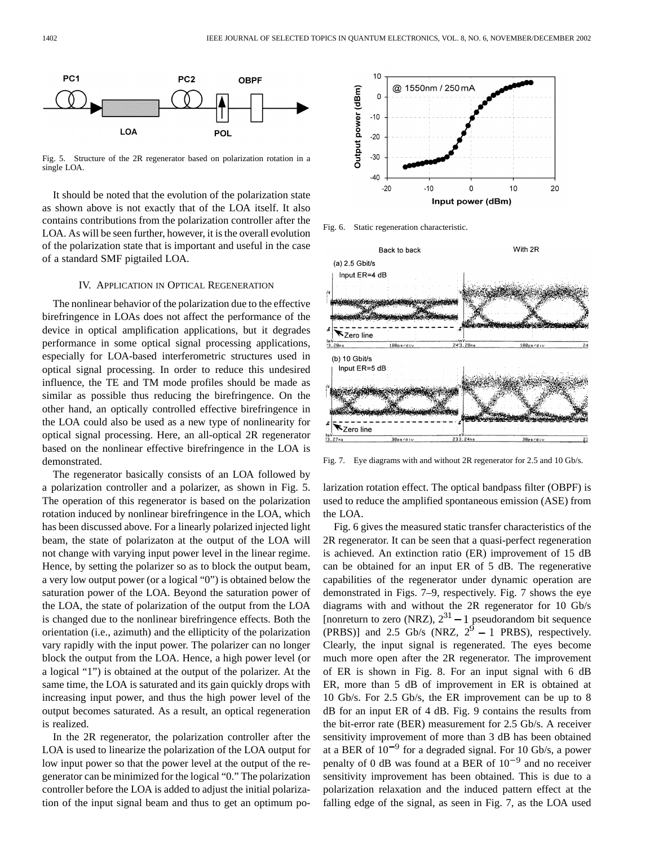

Fig. 5. Structure of the 2R regenerator based on polarization rotation in a single LOA.

It should be noted that the evolution of the polarization state as shown above is not exactly that of the LOA itself. It also contains contributions from the polarization controller after the LOA. As will be seen further, however, it is the overall evolution of the polarization state that is important and useful in the case of a standard SMF pigtailed LOA.

### IV. APPLICATION IN OPTICAL REGENERATION

The nonlinear behavior of the polarization due to the effective birefringence in LOAs does not affect the performance of the device in optical amplification applications, but it degrades performance in some optical signal processing applications, especially for LOA-based interferometric structures used in optical signal processing. In order to reduce this undesired influence, the TE and TM mode profiles should be made as similar as possible thus reducing the birefringence. On the other hand, an optically controlled effective birefringence in the LOA could also be used as a new type of nonlinearity for optical signal processing. Here, an all-optical 2R regenerator based on the nonlinear effective birefringence in the LOA is demonstrated.

The regenerator basically consists of an LOA followed by a polarization controller and a polarizer, as shown in Fig. 5. The operation of this regenerator is based on the polarization rotation induced by nonlinear birefringence in the LOA, which has been discussed above. For a linearly polarized injected light beam, the state of polarizaton at the output of the LOA will not change with varying input power level in the linear regime. Hence, by setting the polarizer so as to block the output beam, a very low output power (or a logical "0") is obtained below the saturation power of the LOA. Beyond the saturation power of the LOA, the state of polarization of the output from the LOA is changed due to the nonlinear birefringence effects. Both the orientation (i.e., azimuth) and the ellipticity of the polarization vary rapidly with the input power. The polarizer can no longer block the output from the LOA. Hence, a high power level (or a logical "1") is obtained at the output of the polarizer. At the same time, the LOA is saturated and its gain quickly drops with increasing input power, and thus the high power level of the output becomes saturated. As a result, an optical regeneration is realized.

In the 2R regenerator, the polarization controller after the LOA is used to linearize the polarization of the LOA output for low input power so that the power level at the output of the regenerator can be minimized for the logical "0." The polarization controller before the LOA is added to adjust the initial polarization of the input signal beam and thus to get an optimum po-



Fig. 6. Static regeneration characteristic.



Fig. 7. Eye diagrams with and without 2R regenerator for 2.5 and 10 Gb/s.

larization rotation effect. The optical bandpass filter (OBPF) is used to reduce the amplified spontaneous emission (ASE) from the LOA.

Fig. 6 gives the measured static transfer characteristics of the 2R regenerator. It can be seen that a quasi-perfect regeneration is achieved. An extinction ratio (ER) improvement of 15 dB can be obtained for an input ER of 5 dB. The regenerative capabilities of the regenerator under dynamic operation are demonstrated in Figs. 7–9, respectively. Fig. 7 shows the eye diagrams with and without the 2R regenerator for 10 Gb/s [nonreturn to zero (NRZ),  $2^{31} - 1$  pseudorandom bit sequence (PRBS)] and 2.5 Gb/s (NRZ,  $2^9 - 1$  PRBS), respectively. Clearly, the input signal is regenerated. The eyes become much more open after the 2R regenerator. The improvement of ER is shown in Fig. 8. For an input signal with 6 dB ER, more than 5 dB of improvement in ER is obtained at 10 Gb/s. For 2.5 Gb/s, the ER improvement can be up to 8 dB for an input ER of 4 dB. Fig. 9 contains the results from the bit-error rate (BER) measurement for 2.5 Gb/s. A receiver sensitivity improvement of more than 3 dB has been obtained at a BER of  $10^{-9}$  for a degraded signal. For 10 Gb/s, a power penalty of 0 dB was found at a BER of  $10^{-9}$  and no receiver sensitivity improvement has been obtained. This is due to a polarization relaxation and the induced pattern effect at the falling edge of the signal, as seen in Fig. 7, as the LOA used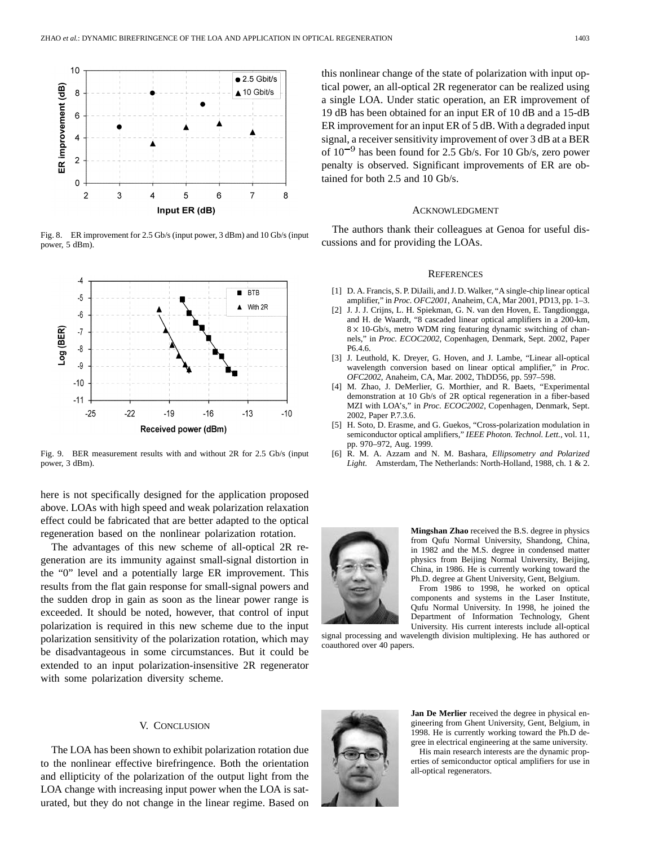

Fig. 8. ER improvement for 2.5 Gb/s (input power, 3 dBm) and 10 Gb/s (input power, 5 dBm).



Fig. 9. BER measurement results with and without 2R for 2.5 Gb/s (input power, 3 dBm).

here is not specifically designed for the application proposed above. LOAs with high speed and weak polarization relaxation effect could be fabricated that are better adapted to the optical regeneration based on the nonlinear polarization rotation.

The advantages of this new scheme of all-optical 2R regeneration are its immunity against small-signal distortion in the "0" level and a potentially large ER improvement. This results from the flat gain response for small-signal powers and the sudden drop in gain as soon as the linear power range is exceeded. It should be noted, however, that control of input polarization is required in this new scheme due to the input polarization sensitivity of the polarization rotation, which may be disadvantageous in some circumstances. But it could be extended to an input polarization-insensitive 2R regenerator with some polarization diversity scheme.

# this nonlinear change of the state of polarization with input optical power, an all-optical 2R regenerator can be realized using a single LOA. Under static operation, an ER improvement of 19 dB has been obtained for an input ER of 10 dB and a 15-dB ER improvement for an input ER of 5 dB. With a degraded input signal, a receiver sensitivity improvement of over 3 dB at a BER of  $10^{-9}$  has been found for 2.5 Gb/s. For 10 Gb/s, zero power penalty is observed. Significant improvements of ER are obtained for both 2.5 and 10 Gb/s.

#### ACKNOWLEDGMENT

The authors thank their colleagues at Genoa for useful discussions and for providing the LOAs.

#### **REFERENCES**

- [1] D. A. Francis, S. P. DiJaili, and J. D. Walker, "A single-chip linear optical amplifier," in *Proc. OFC2001*, Anaheim, CA, Mar 2001, PD13, pp. 1–3.
- [2] J. J. J. Crijns, L. H. Spiekman, G. N. van den Hoven, E. Tangdiongga, and H. de Waardt, "8 cascaded linear optical amplifiers in a 200-km,  $8 \times 10$ -Gb/s, metro WDM ring featuring dynamic switching of channels," in *Proc. ECOC2002*, Copenhagen, Denmark, Sept. 2002, Paper P6.4.6.
- [3] J. Leuthold, K. Dreyer, G. Hoven, and J. Lambe, "Linear all-optical wavelength conversion based on linear optical amplifier," in *Proc. OFC2002*, Anaheim, CA, Mar. 2002, ThDD56, pp. 597–598.
- [4] M. Zhao, J. DeMerlier, G. Morthier, and R. Baets, "Experimental demonstration at 10 Gb/s of 2R optical regeneration in a fiber-based MZI with LOA's," in *Proc. ECOC2002*, Copenhagen, Denmark, Sept. 2002, Paper P.7.3.6.
- [5] H. Soto, D. Erasme, and G. Guekos, "Cross-polarization modulation in semiconductor optical amplifiers," *IEEE Photon. Technol. Lett.*, vol. 11, pp. 970–972, Aug. 1999.
- [6] R. M. A. Azzam and N. M. Bashara, *Ellipsometry and Polarized Light*. Amsterdam, The Netherlands: North-Holland, 1988, ch. 1 & 2.



**Mingshan Zhao** received the B.S. degree in physics from Qufu Normal University, Shandong, China, in 1982 and the M.S. degree in condensed matter physics from Beijing Normal University, Beijing, China, in 1986. He is currently working toward the Ph.D. degree at Ghent University, Gent, Belgium.

From 1986 to 1998, he worked on optical components and systems in the Laser Institute, Qufu Normal University. In 1998, he joined the Department of Information Technology, Ghent University. His current interests include all-optical

signal processing and wavelength division multiplexing. He has authored or coauthored over 40 papers.

#### V. CONCLUSION

The LOA has been shown to exhibit polarization rotation due to the nonlinear effective birefringence. Both the orientation and ellipticity of the polarization of the output light from the LOA change with increasing input power when the LOA is saturated, but they do not change in the linear regime. Based on



**Jan De Merlier** received the degree in physical engineering from Ghent University, Gent, Belgium, in 1998. He is currently working toward the Ph.D degree in electrical engineering at the same university.

His main research interests are the dynamic properties of semiconductor optical amplifiers for use in all-optical regenerators.